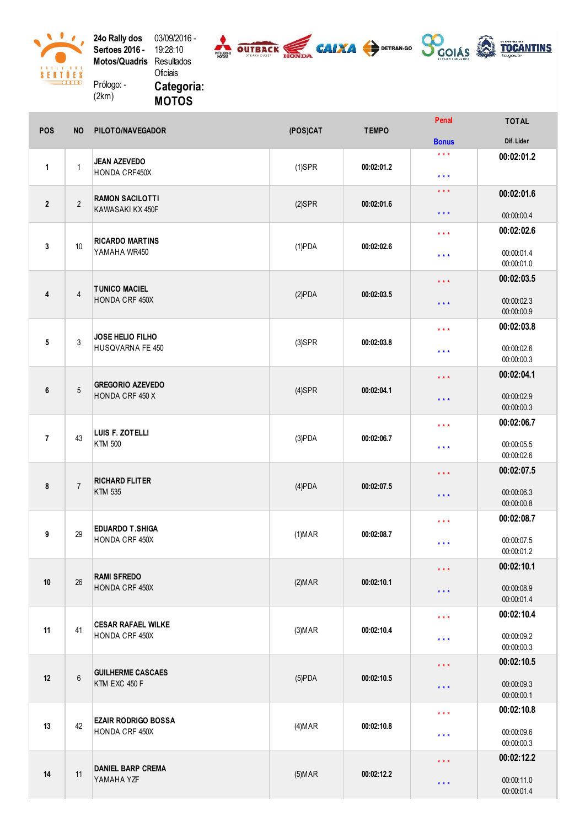24o Rally dos 03/09/2016 -<br>Sertoes 2016 - 19:28:10<br>Motos/Quadris Resultados Oficiais Prólogo: -

0

 $\begin{array}{c}\n8 & A & 1 & 1 & 1 \\
\hline\n\end{array}\n\qquad\n\begin{array}{c}\n1 & 1 & 0 \\
\hline\n\end{array}\n\qquad\n\begin{array}{c}\n1 & 1 & 0 \\
\hline\n\end{array}\n\qquad\n\begin{array}{c}\n3 \\
\hline\n\end{array}\n\qquad\n\begin{array}{c}\n\hline\n\end{array}\n\qquad\n\begin{array}{c}\n3 \\
\hline\n\end{array}\n\qquad\n\begin{array}{c}\n\hline\n\end{array}\n\qquad\n\begin{array}{c}\n3 \\
\hline\n\end{array}\n\qquad\n\begin{array}{c}\n\$ 

 $\mathcal{L}$ 

 $(2km)$ 



 $-$ 

Categoria: **MOTOS** 

| <b>POS</b>     | <b>NO</b>      | PILOTO/NAVEGADOR                             | (POS)CAT                | <b>TEMPO</b>                                   | <b>F</b> GHAL                         | IUIAL                    |
|----------------|----------------|----------------------------------------------|-------------------------|------------------------------------------------|---------------------------------------|--------------------------|
|                |                |                                              |                         |                                                | <b>Bonus</b>                          | Dif. Lider               |
| $\mathbf{1}$   |                | <b>JEAN AZEVEDO</b><br>HONDA CRF450X         |                         |                                                | $\star\star\star$                     | 00:02:01.2               |
|                | $\mathbf{1}$   |                                              | $(1)$ SPR               | 00:02:01.2                                     | $\star$ $\star$ $\star$               |                          |
|                |                |                                              |                         |                                                | $***$                                 | 00:02:01.6               |
| $\overline{2}$ | $\overline{2}$ | <b>RAMON SACILOTTI</b>                       | $(2)$ SPR               | 00:02:01.6                                     |                                       |                          |
|                |                | KAWASAKI KX 450F                             |                         |                                                | $***$                                 | 00:00:00.4               |
|                |                |                                              |                         |                                                | $\star$ $\star$ $\star$               | 00:02:02.6               |
| 3              | 10             | <b>RICARDO MARTINS</b>                       | $(1)$ PDA<br>00:02:02.6 |                                                |                                       |                          |
|                |                | YAMAHA WR450                                 |                         |                                                | $\star$ $\star$ $\star$               | 00:00:01.4<br>00:00:01.0 |
|                |                |                                              |                         |                                                |                                       | 00:02:03.5               |
| 4              |                | <b>TUNICO MACIEL</b>                         |                         | $\star$ $\star$ $\star$<br>00:02:03.5<br>$***$ |                                       |                          |
|                | $\overline{4}$ | HONDA CRF 450X                               | (2)PDA                  |                                                |                                       | 00:00:02.3               |
|                |                |                                              |                         |                                                |                                       | 00:00:00.9               |
|                |                | JOSE HELIO FILHO<br>HUSQVARNA FE 450         |                         |                                                | 00:02:03.8<br>$\star$ $\star$ $\star$ |                          |
| 5              | 3              |                                              | $(3)$ SPR               | 00:02:03.8                                     | $\star$ $\star$ $\star$               | 00:00:02.6               |
|                |                |                                              |                         |                                                |                                       | 00:00:00.3               |
|                |                |                                              |                         |                                                | 00:02:04.1<br>$***$                   |                          |
| 6              | $\sqrt{5}$     | <b>GREGORIO AZEVEDO</b><br>HONDA CRF 450 X   | $(4)$ SPR               | 00:02:04.1                                     |                                       |                          |
|                |                |                                              |                         |                                                | $\star$ $\star$ $\star$               | 00:00:02.9<br>00:00:00.3 |
|                |                |                                              |                         |                                                |                                       | 00:02:06.7               |
| $\overline{7}$ | 43             | LUIS F. ZOTELLI<br><b>KTM 500</b>            | $(3)$ PDA               | 00:02:06.7                                     | $\star$ $\star$ $\star$               |                          |
|                |                |                                              |                         |                                                | $\star$ $\star$ $\star$               | 00:00:05.5               |
|                |                |                                              |                         |                                                |                                       | 00:00:02.6               |
| 8              | $\overline{7}$ | <b>RICHARD FLITER</b><br>KTM 535             |                         |                                                | $***$                                 | 00:02:07.5               |
|                |                |                                              | $(4)$ PDA               | 00:02:07.5                                     | $***$                                 | 00:00:06.3               |
|                |                |                                              |                         |                                                |                                       | 00:00:00.8               |
|                |                |                                              |                         |                                                | $\star\star\star$                     | 00:02:08.7               |
| 9              | 29             | <b>EDUARDO T.SHIGA</b><br>HONDA CRF 450X     | $(1)$ MAR               | 00:02:08.7                                     |                                       | 00:00:07.5               |
|                |                |                                              |                         |                                                | $***$                                 | 00:00:01.2               |
|                |                |                                              |                         |                                                | $\star\star\star$                     | 00:02:10.1               |
| $10$           | 26             | <b>RAMI SFREDO</b><br>HONDA CRF 450X         | (2) <b>MAR</b>          | 00:02:10.1                                     |                                       |                          |
|                |                |                                              |                         |                                                | $***$                                 | 00:00:08.9<br>00:00:01.4 |
|                |                |                                              |                         |                                                |                                       |                          |
|                | 41             | <b>CESAR RAFAEL WILKE</b><br>HONDA CRF 450X  |                         |                                                | $\star\star\star$                     | 00:02:10.4               |
| 11             |                |                                              | (3) <b>MAR</b>          | 00:02:10.4                                     | $***$                                 | 00:00:09.2               |
|                |                |                                              |                         |                                                |                                       | 00:00:00.3               |
| 12             | 6              | <b>GUILHERME CASCAES</b><br>KTM EXC 450 F    |                         |                                                | $\star\star\star$                     | 00:02:10.5               |
|                |                |                                              | $(5)$ PDA               | 00:02:10.5                                     | $***$                                 | 00:00:09.3               |
|                |                |                                              |                         |                                                |                                       | 00:00:00.1               |
| 13             |                | <b>EZAIR RODRIGO BOSSA</b><br>HONDA CRF 450X |                         |                                                | $***$                                 | 00:02:10.8               |
|                | 42             |                                              | (4) <b>MAR</b>          | 00:02:10.8                                     |                                       | 00:00:09.6               |
|                |                |                                              |                         |                                                | $***$                                 | 00:00:00.3               |
|                |                | <b>DANIEL BARP CREMA</b><br>YAMAHA YZF       |                         |                                                | $\star\star\star$                     | 00:02:12.2               |
| 14             | 11             |                                              | $(5)$ MAR               | 00:02:12.2                                     |                                       |                          |
|                |                |                                              |                         |                                                | $\star$ $\star$ $\star$               | 00:00:11.0               |
|                |                |                                              |                         |                                                |                                       | 00:00:01.4               |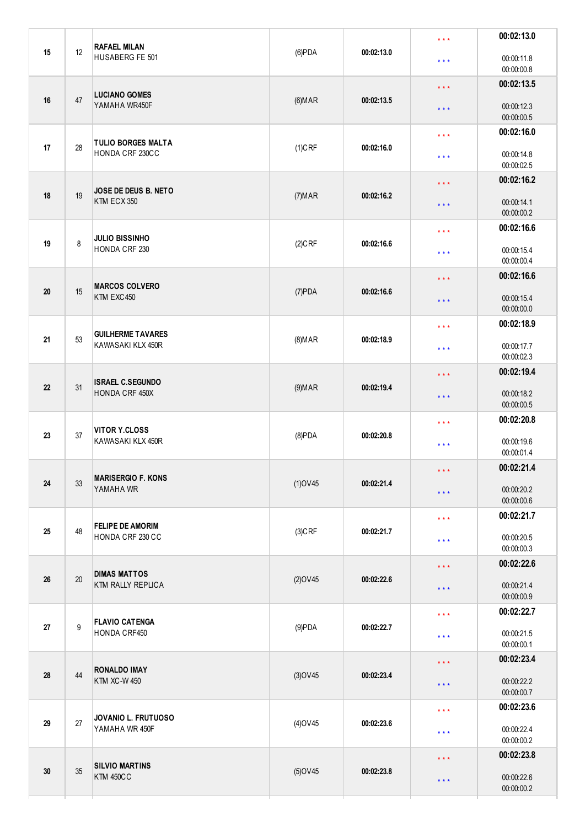|    |    | <b>RAFAEL MILAN</b>                             |                |                     | $***$                   | 00:02:13.0               |
|----|----|-------------------------------------------------|----------------|---------------------|-------------------------|--------------------------|
| 15 | 12 | HUSABERG FE 501                                 | $(6)$ PDA      | 00:02:13.0          | $***$                   | 00:00:11.8<br>00:00:00.8 |
|    |    | <b>LUCIANO GOMES</b>                            |                |                     | $\star$ $\star$ $\star$ | 00:02:13.5               |
| 16 | 47 | YAMAHA WR450F                                   | (6) <b>MAR</b> | 00:02:13.5          | $\star$ $\star$ $\star$ | 00:00:12.3<br>00:00:00.5 |
|    |    | <b>TULIO BORGES MALTA</b>                       |                |                     | $***$                   | 00:02:16.0               |
| 17 | 28 | HONDA CRF 230CC                                 | $(1)$ CRF      | 00:02:16.0          | $***$                   | 00:00:14.8<br>00:00:02.5 |
|    |    | JOSE DE DEUS B. NETO                            |                |                     | $\star$ $\star$ $\star$ | 00:02:16.2               |
| 18 | 19 | KTM ECX 350                                     | (7) <b>MAR</b> | 00:02:16.2          | $\star\star\star$       | 00:00:14.1<br>00:00:00.2 |
|    |    | <b>JULIO BISSINHO</b>                           |                |                     | $\star$ $\star$ $\star$ | 00:02:16.6               |
| 19 | 8  | HONDA CRF 230                                   | $(2)$ CRF      | 00:02:16.6          | $***$                   | 00:00:15.4<br>00:00:00.4 |
|    |    | <b>MARCOS COLVERO</b><br>KTM EXC450             |                |                     | $***$                   | 00:02:16.6               |
| 20 | 15 |                                                 | $(7)$ PDA      | 00:02:16.6          | $\star\star\star$       | 00:00:15.4<br>00:00:00.0 |
|    |    | <b>GUILHERME TAVARES</b><br>KAWASAKI KLX 450R   |                |                     | $\star$ $\star$ $\star$ | 00:02:18.9               |
| 21 | 53 |                                                 | (8) <b>MAP</b> | 00:02:18.9          | $***$                   | 00:00:17.7<br>00:00:02.3 |
|    | 31 | <b>ISRAEL C.SEGUNDO</b><br>HONDA CRF 450X       |                |                     | $***$                   | 00:02:19.4               |
| 22 |    |                                                 | (9) <b>MAR</b> | 00:02:19.4          | $***$                   | 00:00:18.2<br>00:00:00.5 |
|    |    | <b>VITOR Y.CLOSS</b><br>KAWASAKI KLX 450R       |                |                     | $***$                   | 00:02:20.8               |
| 23 | 37 |                                                 | $(8)$ PDA      | 00:02:20.8          | $***$                   | 00:00:19.6<br>00:00:01.4 |
|    |    | <b>MARISERGIO F. KONS</b>                       |                |                     | * * *                   | 00:02:21.4               |
| 24 | 33 | YAMAHA WR                                       | $(1)$ OV45     | 00:02:21.4          | $\star$ $\star$ $\star$ | 00:00:20.2<br>00:00:00.6 |
|    |    | <b>FELIPE DE AMORIM</b>                         |                | 00:02:21.7          | $\star$ $\star$ $\star$ | 00:02:21.7               |
| 25 | 48 | HONDA CRF 230 CC                                | $(3)$ CRF      |                     | $***$                   | 00:00:20.5<br>00:00:00.3 |
|    | 20 | <b>DIMAS MATTOS</b><br><b>KTM RALLY REPLICA</b> |                |                     | $\star$ $\star$ $\star$ | 00:02:22.6               |
| 26 |    |                                                 | $(2)$ OV45     | 00:02:22.6          | $\star$ $\star$ $\star$ | 00:00:21.4<br>00:00:00.9 |
|    |    | <b>FLAVIO CATENGA</b><br>9<br>HONDA CRF450      |                |                     | $***$                   | 00:02:22.7               |
| 27 |    |                                                 | $(9)$ PDA      | 00:02:22.7          | $***$                   | 00:00:21.5<br>00:00:00.1 |
|    | 44 | <b>RONALDO IMAY</b><br><b>KTM XC-W 450</b>      |                |                     | $\star$ $\star$ $\star$ | 00:02:23.4               |
| 28 |    |                                                 | $(3)$ OV45     | 00:02:23.4          | $\star$ $\star$ $\star$ | 00:00:22.2<br>00:00:00.7 |
|    |    | JOVANIO L. FRUTUOSO<br>27<br>YAMAHA WR 450F     |                |                     | $***$                   | 00:02:23.6               |
| 29 |    |                                                 | $(4)$ OV45     | 00:02:23.6          | $\star$ $\star$ $\star$ | 00:00:22.4<br>00:00:00.2 |
|    |    | <b>SILVIO MARTINS</b><br><b>KTM 450CC</b>       |                |                     | $\star$ $\star$ $\star$ | 00:02:23.8               |
| 30 | 35 |                                                 | $(5)$ OV45     | 00:02:23.8<br>$***$ |                         | 00:00:22.6<br>00:00:00.2 |
|    |    |                                                 |                |                     |                         |                          |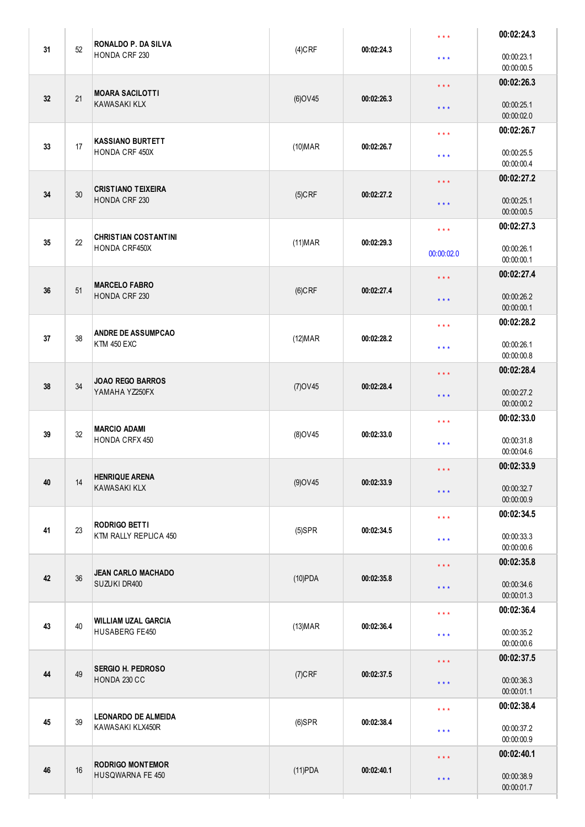| 31 | 52 | <b>RONALDO P. DA SILVA</b><br>HONDA CRF 230               | $(4)$ CRF  | 00:02:24.3 | $***$                                              | 00:02:24.3               |
|----|----|-----------------------------------------------------------|------------|------------|----------------------------------------------------|--------------------------|
|    |    |                                                           |            |            | $\star$ $\star$ $\star$                            | 00:00:23.1<br>00:00:00.5 |
| 32 | 21 | <b>MOARA SACILOTTI</b><br><b>KAWASAKI KLX</b>             | $(6)$ OV45 | 00:02:26.3 | $***$                                              | 00:02:26.3               |
|    |    |                                                           |            |            | $***$                                              | 00:00:25.1<br>00:00:02.0 |
| 33 | 17 | <b>KASSIANO BURTETT</b><br>HONDA CRF 450X                 |            |            | $***$                                              | 00:02:26.7               |
|    |    |                                                           | $(10)$ MAR | 00:02:26.7 | $\star\star\star$                                  | 00:00:25.5<br>00:00:00.4 |
| 34 | 30 | <b>CRISTIANO TEIXEIRA</b><br>HONDA CRF 230                | $(5)$ CRF  | 00:02:27.2 | $***$                                              | 00:02:27.2               |
|    |    |                                                           |            |            | $***$                                              | 00:00:25.1<br>00:00:00.5 |
| 35 |    | <b>CHRISTIAN COSTANTINI</b><br>22<br><b>HONDA CRF450X</b> | $(11)$ MAR | 00:02:29.3 | $\star$ $\star$ $\star$                            | 00:02:27.3               |
|    |    |                                                           |            |            | 00:00:02.0                                         | 00:00:26.1<br>00:00:00.1 |
| 36 | 51 | <b>MARCELO FABRO</b><br>HONDA CRF 230                     | $(6)$ CRF  | 00:02:27.4 | $\star$ $\star$ $\star$                            | 00:02:27.4               |
|    |    |                                                           |            |            | $\star$ $\star$ $\star$                            | 00:00:26.2<br>00:00:00.1 |
| 37 | 38 | <b>ANDRE DE ASSUMPCAO</b><br><b>KTM 450 EXC</b>           | $(12)$ MAR | 00:02:28.2 | $\star$ $\star$ $\star$                            | 00:02:28.2               |
|    |    |                                                           |            |            | $\star\star\star$                                  | 00:00:26.1<br>00:00:00.8 |
| 38 | 34 | <b>JOAO REGO BARROS</b><br>YAMAHA YZ250FX                 | $(7)$ OV45 | 00:02:28.4 | $***$                                              | 00:02:28.4               |
|    |    |                                                           |            |            | $\star$ $\star$ $\star$                            | 00:00:27.2<br>00:00:00.2 |
| 39 | 32 | <b>MARCIO ADAMI</b><br>HONDA CRFX 450                     | (8) OV45   | 00:02:33.0 | 00:02:33.0<br>$***$                                |                          |
|    |    |                                                           |            |            | $***$                                              | 00:00:31.8<br>00:00:04.6 |
| 40 | 14 | <b>HENRIQUE ARENA</b><br><b>KAWASAKI KLX</b>              | $(9)$ OV45 | 00:02:33.9 | $* * *$                                            | 00:02:33.9<br>00:00:32.7 |
|    |    |                                                           |            |            | $\star$ $\star$ $\star$                            | 00:00:00.9               |
| 41 | 23 | <b>RODRIGO BETTI</b><br>KTM RALLY REPLICA 450             | $(5)$ SPR  | 00:02:34.5 | $\star$ $\star$ $\star$                            | 00:02:34.5<br>00:00:33.3 |
|    |    |                                                           |            |            | $***$                                              | 00:00:00.6               |
| 42 | 36 | <b>JEAN CARLO MACHADO</b><br>SUZUKI DR400                 | $(10)$ PDA | 00:02:35.8 | $\star$ $\star$ $\star$                            | 00:02:35.8<br>00:00:34.6 |
|    |    |                                                           |            |            | $\star$ $\star$ $\star$                            | 00:00:01.3<br>00:02:36.4 |
| 43 | 40 | <b>WILLIAM UZAL GARCIA</b><br>HUSABERG FE450              | $(13)$ MAR | 00:02:36.4 | $\star$ $\star$ $\star$<br>$\star$ $\star$ $\star$ | 00:00:35.2               |
|    |    |                                                           |            |            |                                                    | 00:00:00.6<br>00:02:37.5 |
| 44 | 49 | <b>SERGIO H. PEDROSO</b><br>HONDA 230 CC                  | $(7)$ CRF  | 00:02:37.5 | $***$<br>$\star$ $\star$ $\star$                   | 00:00:36.3               |
|    |    |                                                           |            |            |                                                    | 00:00:01.1<br>00:02:38.4 |
| 45 | 39 | <b>LEONARDO DE ALMEIDA</b><br>KAWASAKI KLX450R            | $(6)$ SPR  | 00:02:38.4 | $***$<br>$***$                                     | 00:00:37.2               |
|    |    |                                                           |            |            |                                                    | 00:00:00.9<br>00:02:40.1 |
| 46 | 16 | <b>RODRIGO MONTEMOR</b><br>HUSQWARNA FE 450               | $(11)$ PDA | 00:02:40.1 | $***$<br>$\star$ $\star$ $\star$                   | 00:00:38.9               |
|    |    |                                                           |            |            |                                                    | 00:00:01.7               |